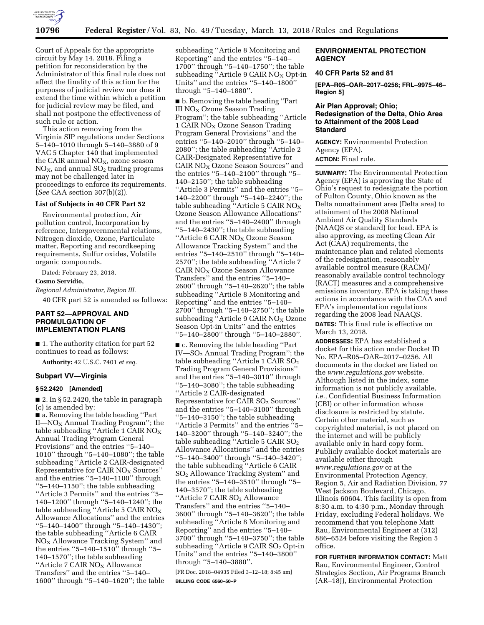

Court of Appeals for the appropriate circuit by May 14, 2018. Filing a petition for reconsideration by the Administrator of this final rule does not affect the finality of this action for the purposes of judicial review nor does it extend the time within which a petition for judicial review may be filed, and shall not postpone the effectiveness of such rule or action.

This action removing from the Virginia SIP regulations under Sections 5–140–1010 through 5–140–3880 of 9 VAC 5 Chapter 140 that implemented the CAIR annual  $NO<sub>X</sub>$ , ozone season  $NO<sub>X</sub>$ , and annual  $SO<sub>2</sub>$  trading programs may not be challenged later in proceedings to enforce its requirements. (*See* CAA section 307(b)(2)).

### **List of Subjects in 40 CFR Part 52**

Environmental protection, Air pollution control, Incorporation by reference, Intergovernmental relations, Nitrogen dioxide, Ozone, Particulate matter, Reporting and recordkeeping requirements, Sulfur oxides, Volatile organic compounds.

Dated: February 23, 2018.

**Cosmo Servidio,** 

*Regional Administrator, Region III.*  40 CFR part 52 is amended as follows:

### **PART 52—APPROVAL AND PROMULGATION OF IMPLEMENTATION PLANS**

■ 1. The authority citation for part 52 continues to read as follows:

**Authority:** 42 U.S.C. 7401 *et seq.* 

### **Subpart VV—Virginia**

### **§ 52.2420 [Amended]**

■ 2. In § 52.2420, the table in paragraph (c) is amended by:

■ a. Removing the table heading "Part II—NO<sub>X</sub> Annual Trading Program"; the table subheading "Article 1 CAIR  $NO<sub>x</sub>$ Annual Trading Program General Provisions'' and the entries ''5–140– 1010'' through ''5–140–1080''; the table subheading ''Article 2 CAIR-designated Representative for CAIR  $NO<sub>X</sub>$  Sources" and the entries ''5–140–1100'' through ''5–140–1150''; the table subheading ''Article 3 Permits'' and the entries ''5– 140–1200'' through ''5–140–1240''; the table subheading "Article 5 CAIR  $NO<sub>X</sub>$ Allowance Allocations'' and the entries ''5–140–1400'' through ''5–140–1430''; the table subheading ''Article 6 CAIR NO<sub>X</sub> Allowance Tracking System" and the entries ''5–140–1510'' through ''5– 140–1570''; the table subheading "Article 7 CAIR NO<sub>X</sub> Allowance Transfers'' and the entries ''5–140– 1600'' through ''5–140–1620''; the table

subheading ''Article 8 Monitoring and Reporting'' and the entries ''5–140– 1700'' through ''5–140–1750''; the table subheading "Article 9 CAIR  $NO<sub>X</sub>$  Opt-in Units'' and the entries ''5–140–1800'' through ''5–140–1880''.

■ b. Removing the table heading ''Part III  $NO<sub>X</sub> Ozone$  Season Trading Program''; the table subheading ''Article  $1$  CAIR NO<sub>X</sub> Ozone Season Trading Program General Provisions'' and the entries ''5–140–2010'' through ''5–140– 2080''; the table subheading ''Article 2 CAIR-Designated Representative for CAIR  $NO<sub>X</sub>$  Ozone Season Sources" and the entries ''5–140–2100'' through ''5– 140–2150''; the table subheading ''Article 3 Permits'' and the entries ''5– 140–2200'' through ''5–140–2240''; the table subheading "Article 5 CAIR  $NO_X$ Ozone Season Allowance Allocations'' and the entries ''5–140–2400'' through ''5–140–2430''; the table subheading "Article 6 CAIR NO<sub>X</sub> Ozone Season Allowance Tracking System'' and the entries ''5–140–2510'' through ''5–140– 2570''; the table subheading ''Article 7  $CAIR NO<sub>X</sub> Ozone Season Allowance$ Transfers'' and the entries ''5–140– 2600'' through ''5–140–2620''; the table subheading ''Article 8 Monitoring and Reporting'' and the entries ''5–140– 2700'' through ''5–140–2750''; the table subheading "Article  $9$  CAIR NO<sub>x</sub> Ozone Season Opt-in Units'' and the entries ''5–140–2800'' through ''5–140–2880''.

■ c. Removing the table heading ''Part IV—SO2 Annual Trading Program''; the table subheading "Article 1 CAIR SO<sub>2</sub> Trading Program General Provisions'' and the entries ''5–140–3010'' through ''5–140–3080''; the table subheading ''Article 2 CAIR-designated Representative for CAIR SO<sub>2</sub> Sources" and the entries ''5–140–3100'' through ''5–140–3150''; the table subheading ''Article 3 Permits'' and the entries ''5– 140–3200'' through ''5–140–3240''; the table subheading "Article 5 CAIR SO<sub>2</sub> Allowance Allocations'' and the entries ''5–140–3400'' through ''5–140–3420''; the table subheading ''Article 6 CAIR SO2 Allowance Tracking System'' and the entries ''5–140–3510'' through ''5– 140–3570''; the table subheading "Article 7 CAIR SO<sub>2</sub> Allowance Transfers'' and the entries ''5–140– 3600'' through ''5–140–3620''; the table subheading ''Article 8 Monitoring and Reporting'' and the entries ''5–140– 3700'' through ''5–140–3750''; the table subheading "Article 9 CAIR SO<sub>2</sub> Opt-in Units'' and the entries ''5–140–3800'' through ''5–140–3880''.

[FR Doc. 2018–04935 Filed 3–12–18; 8:45 am] **BILLING CODE 6560–50–P** 

## **ENVIRONMENTAL PROTECTION AGENCY**

### **40 CFR Parts 52 and 81**

**[EPA–R05–OAR–2017–0256; FRL–9975–46– Region 5]** 

### **Air Plan Approval; Ohio; Redesignation of the Delta, Ohio Area to Attainment of the 2008 Lead Standard**

**AGENCY:** Environmental Protection Agency (EPA).

**ACTION:** Final rule.

**SUMMARY:** The Environmental Protection Agency (EPA) is approving the State of Ohio's request to redesignate the portion of Fulton County, Ohio known as the Delta nonattainment area (Delta area) to attainment of the 2008 National Ambient Air Quality Standards (NAAQS or standard) for lead. EPA is also approving, as meeting Clean Air Act (CAA) requirements, the maintenance plan and related elements of the redesignation, reasonably available control measure (RACM)/ reasonably available control technology (RACT) measures and a comprehensive emissions inventory. EPA is taking these actions in accordance with the CAA and EPA's implementation regulations regarding the 2008 lead NAAQS. **DATES:** This final rule is effective on March 13, 2018.

**ADDRESSES:** EPA has established a docket for this action under Docket ID No. EPA–R05–OAR–2017–0256. All documents in the docket are listed on the *[www.regulations.gov](http://www.regulations.gov)* website. Although listed in the index, some information is not publicly available, *i.e.,* Confidential Business Information (CBI) or other information whose disclosure is restricted by statute. Certain other material, such as copyrighted material, is not placed on the internet and will be publicly available only in hard copy form. Publicly available docket materials are available either through *[www.regulations.gov](http://www.regulations.gov)* or at the Environmental Protection Agency, Region 5, Air and Radiation Division, 77 West Jackson Boulevard, Chicago, Illinois 60604. This facility is open from 8:30 a.m. to 4:30 p.m., Monday through Friday, excluding Federal holidays. We recommend that you telephone Matt Rau, Environmental Engineer at (312) 886–6524 before visiting the Region 5 office.

**FOR FURTHER INFORMATION CONTACT:** Matt Rau, Environmental Engineer, Control Strategies Section, Air Programs Branch (AR–18J), Environmental Protection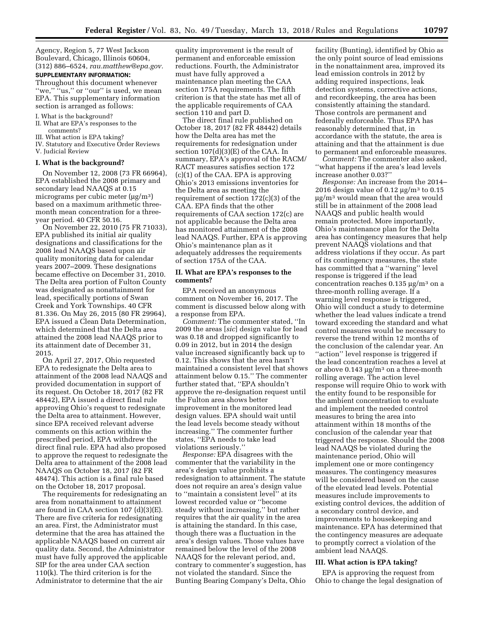Agency, Region 5, 77 West Jackson Boulevard, Chicago, Illinois 60604, (312) 886–6524, *[rau.matthew@epa.gov.](mailto:rau.matthew@epa.gov)* 

#### **SUPPLEMENTARY INFORMATION:**

Throughout this document whenever "we," "us," or "our" is used, we mean EPA. This supplementary information section is arranged as follows:

- I. What is the background?
- II. What are EPA's responses to the comments?
- III. What action is EPA taking?
- IV. Statutory and Executive Order Reviews
- V. Judicial Review

### **I. What is the background?**

On November 12, 2008 (73 FR 66964), EPA established the 2008 primary and secondary lead NAAQS at 0.15 micrograms per cubic meter  $(\mu g/m^3)$ based on a maximum arithmetic threemonth mean concentration for a threeyear period. 40 CFR 50.16.

On November 22, 2010 (75 FR 71033), EPA published its initial air quality designations and classifications for the 2008 lead NAAQS based upon air quality monitoring data for calendar years 2007–2009. These designations became effective on December 31, 2010. The Delta area portion of Fulton County was designated as nonattainment for lead, specifically portions of Swan Creek and York Townships. 40 CFR 81.336. On May 26, 2015 (80 FR 29964), EPA issued a Clean Data Determination, which determined that the Delta area attained the 2008 lead NAAQS prior to its attainment date of December 31, 2015.

On April 27, 2017, Ohio requested EPA to redesignate the Delta area to attainment of the 2008 lead NAAQS and provided documentation in support of its request. On October 18, 2017 (82 FR 48442), EPA issued a direct final rule approving Ohio's request to redesignate the Delta area to attainment. However, since EPA received relevant adverse comments on this action within the prescribed period, EPA withdrew the direct final rule. EPA had also proposed to approve the request to redesignate the Delta area to attainment of the 2008 lead NAAQS on October 18, 2017 (82 FR 48474). This action is a final rule based on the October 18, 2017 proposal.

The requirements for redesignating an area from nonattainment to attainment are found in CAA section 107 (d)(3)(E). There are five criteria for redesignating an area. First, the Administrator must determine that the area has attained the applicable NAAQS based on current air quality data. Second, the Administrator must have fully approved the applicable SIP for the area under CAA section 110(k). The third criterion is for the Administrator to determine that the air

quality improvement is the result of permanent and enforceable emission reductions. Fourth, the Administrator must have fully approved a maintenance plan meeting the CAA section 175A requirements. The fifth criterion is that the state has met all of the applicable requirements of CAA section 110 and part D.

The direct final rule published on October 18, 2017 (82 FR 48442) details how the Delta area has met the requirements for redesignation under section  $107(d)(3)(E)$  of the CAA. In summary, EPA's approval of the RACM/ RACT measures satisfies section 172 (c)(1) of the CAA. EPA is approving Ohio's 2013 emissions inventories for the Delta area as meeting the requirement of section 172(c)(3) of the CAA. EPA finds that the other requirements of CAA section 172(c) are not applicable because the Delta area has monitored attainment of the 2008 lead NAAQS. Further, EPA is approving Ohio's maintenance plan as it adequately addresses the requirements of section 175A of the CAA.

### **II. What are EPA's responses to the comments?**

EPA received an anonymous comment on November 16, 2017. The comment is discussed below along with a response from EPA.

*Comment:* The commenter stated, ''In 2009 the areas [*sic*] design value for lead was 0.18 and dropped significantly to 0.09 in 2012, but in 2014 the design value increased significantly back up to 0.12. This shows that the area hasn't maintained a consistent level that shows attainment below 0.15.'' The commenter further stated that, ''EPA shouldn't approve the re-designation request until the Fulton area shows better improvement in the monitored lead design values. EPA should wait until the lead levels become steady without increasing.'' The commenter further states, ''EPA needs to take lead violations seriously.''

*Response:* EPA disagrees with the commenter that the variability in the area's design value prohibits a redesignation to attainment. The statute does not require an area's design value to ''maintain a consistent level'' at its lowest recorded value or ''become steady without increasing,'' but rather requires that the air quality in the area is attaining the standard. In this case, though there was a fluctuation in the area's design values. Those values have remained below the level of the 2008 NAAQS for the relevant period, and, contrary to commenter's suggestion, has not violated the standard. Since the Bunting Bearing Company's Delta, Ohio

facility (Bunting), identified by Ohio as the only point source of lead emissions in the nonattainment area, improved its lead emission controls in 2012 by adding required inspections, leak detection systems, corrective actions, and recordkeeping, the area has been consistently attaining the standard. Those controls are permanent and federally enforceable. Thus EPA has reasonably determined that, in accordance with the statute, the area is attaining and that the attainment is due to permanent and enforceable measures.

*Comment:* The commenter also asked, ''what happens if the area's lead levels increase another 0.03?''

*Response:* An increase from the 2014– 2016 design value of 0.12  $\mu$ g/m<sup>3</sup> to 0.15  $\mu$ g/m<sup>3</sup> would mean that the area would still be in attainment of the 2008 lead NAAQS and public health would remain protected. More importantly, Ohio's maintenance plan for the Delta area has contingency measures that help prevent NAAQS violations and that address violations if they occur. As part of its contingency measures, the state has committed that a ''warning'' level response is triggered if the lead concentration reaches  $0.135 \text{ µg/m}^3$  on a three-month rolling average. If a warning level response is triggered, Ohio will conduct a study to determine whether the lead values indicate a trend toward exceeding the standard and what control measures would be necessary to reverse the trend within 12 months of the conclusion of the calendar year. An ''action'' level response is triggered if the lead concentration reaches a level at or above  $0.143 \mu g/m^3$  on a three-month rolling average. The action level response will require Ohio to work with the entity found to be responsible for the ambient concentration to evaluate and implement the needed control measures to bring the area into attainment within 18 months of the conclusion of the calendar year that triggered the response. Should the 2008 lead NAAQS be violated during the maintenance period, Ohio will implement one or more contingency measures. The contingency measures will be considered based on the cause of the elevated lead levels. Potential measures include improvements to existing control devices, the addition of a secondary control device, and improvements to housekeeping and maintenance. EPA has determined that the contingency measures are adequate to promptly correct a violation of the ambient lead NAAQS.

### **III. What action is EPA taking?**

EPA is approving the request from Ohio to change the legal designation of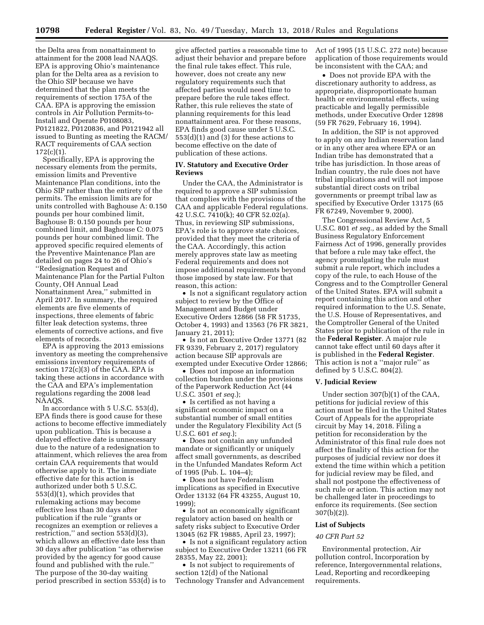the Delta area from nonattainment to attainment for the 2008 lead NAAQS. EPA is approving Ohio's maintenance plan for the Delta area as a revision to the Ohio SIP because we have determined that the plan meets the requirements of section 175A of the CAA. EPA is approving the emission controls in Air Pollution Permits-to-Install and Operate P0108083, P0121822, P0120836, and P0121942 all issued to Bunting as meeting the RACM/ RACT requirements of CAA section  $172(c)(1)$ .

Specifically, EPA is approving the necessary elements from the permits, emission limits and Preventive Maintenance Plan conditions, into the Ohio SIP rather than the entirety of the permits. The emission limits are for units controlled with Baghouse A: 0.150 pounds per hour combined limit, Baghouse B: 0.150 pounds per hour combined limit, and Baghouse C: 0.075 pounds per hour combined limit. The approved specific required elements of the Preventive Maintenance Plan are detailed on pages 24 to 26 of Ohio's ''Redesignation Request and Maintenance Plan for the Partial Fulton County, OH Annual Lead Nonattainment Area,'' submitted in April 2017. In summary, the required elements are five elements of inspections, three elements of fabric filter leak detection systems, three elements of corrective actions, and five elements of records.

EPA is approving the 2013 emissions inventory as meeting the comprehensive emissions inventory requirements of section 172(c)(3) of the CAA. EPA is taking these actions in accordance with the CAA and EPA's implementation regulations regarding the 2008 lead NAAQS.

In accordance with 5 U.S.C. 553(d), EPA finds there is good cause for these actions to become effective immediately upon publication. This is because a delayed effective date is unnecessary due to the nature of a redesignation to attainment, which relieves the area from certain CAA requirements that would otherwise apply to it. The immediate effective date for this action is authorized under both 5 U.S.C. 553(d)(1), which provides that rulemaking actions may become effective less than 30 days after publication if the rule ''grants or recognizes an exemption or relieves a restriction,'' and section 553(d)(3), which allows an effective date less than 30 days after publication ''as otherwise provided by the agency for good cause found and published with the rule.'' The purpose of the 30-day waiting period prescribed in section 553(d) is to

give affected parties a reasonable time to adjust their behavior and prepare before the final rule takes effect. This rule, however, does not create any new regulatory requirements such that affected parties would need time to prepare before the rule takes effect. Rather, this rule relieves the state of planning requirements for this lead nonattainment area. For these reasons, EPA finds good cause under 5 U.S.C. 553(d)(1) and (3) for these actions to become effective on the date of publication of these actions.

#### **IV. Statutory and Executive Order Reviews**

Under the CAA, the Administrator is required to approve a SIP submission that complies with the provisions of the CAA and applicable Federal regulations. 42 U.S.C. 7410(k); 40 CFR 52.02(a). Thus, in reviewing SIP submissions, EPA's role is to approve state choices, provided that they meet the criteria of the CAA. Accordingly, this action merely approves state law as meeting Federal requirements and does not impose additional requirements beyond those imposed by state law. For that reason, this action:

• Is not a significant regulatory action subject to review by the Office of Management and Budget under Executive Orders 12866 (58 FR 51735, October 4, 1993) and 13563 (76 FR 3821, January 21, 2011);

• Is not an Executive Order 13771 (82 FR 9339, February 2, 2017) regulatory action because SIP approvals are exempted under Executive Order 12866;

• Does not impose an information collection burden under the provisions of the Paperwork Reduction Act (44 U.S.C. 3501 *et seq.*);

• Is certified as not having a significant economic impact on a substantial number of small entities under the Regulatory Flexibility Act (5 U.S.C. 601 *et seq.*);

• Does not contain any unfunded mandate or significantly or uniquely affect small governments, as described in the Unfunded Mandates Reform Act of 1995 (Pub. L. 104–4);

• Does not have Federalism implications as specified in Executive Order 13132 (64 FR 43255, August 10, 1999);

• Is not an economically significant regulatory action based on health or safety risks subject to Executive Order 13045 (62 FR 19885, April 23, 1997);

• Is not a significant regulatory action subject to Executive Order 13211 (66 FR 28355, May 22, 2001);

• Is not subject to requirements of section 12(d) of the National Technology Transfer and Advancement Act of 1995 (15 U.S.C. 272 note) because application of those requirements would be inconsistent with the CAA; and

• Does not provide EPA with the discretionary authority to address, as appropriate, disproportionate human health or environmental effects, using practicable and legally permissible methods, under Executive Order 12898 (59 FR 7629, February 16, 1994).

In addition, the SIP is not approved to apply on any Indian reservation land or in any other area where EPA or an Indian tribe has demonstrated that a tribe has jurisdiction. In those areas of Indian country, the rule does not have tribal implications and will not impose substantial direct costs on tribal governments or preempt tribal law as specified by Executive Order 13175 (65 FR 67249, November 9, 2000).

The Congressional Review Act, 5 U.S.C. 801 *et seq.,* as added by the Small Business Regulatory Enforcement Fairness Act of 1996, generally provides that before a rule may take effect, the agency promulgating the rule must submit a rule report, which includes a copy of the rule, to each House of the Congress and to the Comptroller General of the United States. EPA will submit a report containing this action and other required information to the U.S. Senate, the U.S. House of Representatives, and the Comptroller General of the United States prior to publication of the rule in the **Federal Register**. A major rule cannot take effect until 60 days after it is published in the **Federal Register**. This action is not a ''major rule'' as defined by 5 U.S.C. 804(2).

#### **V. Judicial Review**

Under section 307(b)(1) of the CAA, petitions for judicial review of this action must be filed in the United States Court of Appeals for the appropriate circuit by May 14, 2018. Filing a petition for reconsideration by the Administrator of this final rule does not affect the finality of this action for the purposes of judicial review nor does it extend the time within which a petition for judicial review may be filed, and shall not postpone the effectiveness of such rule or action. This action may not be challenged later in proceedings to enforce its requirements. (See section 307(b)(2)).

#### **List of Subjects**

#### *40 CFR Part 52*

Environmental protection, Air pollution control, Incorporation by reference, Intergovernmental relations, Lead, Reporting and recordkeeping requirements.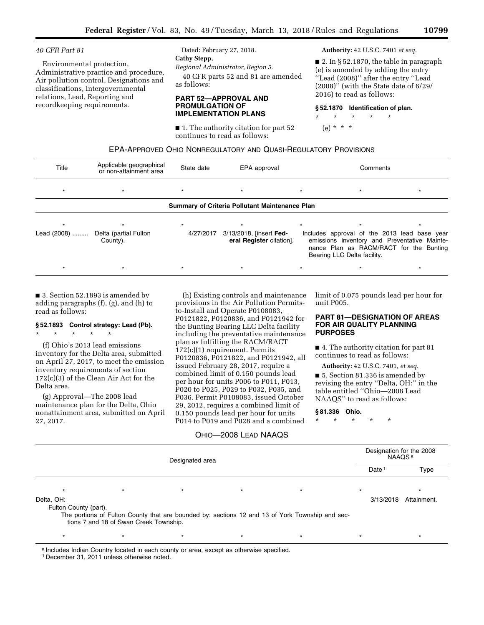## *40 CFR Part 81*

Environmental protection, Administrative practice and procedure, Air pollution control, Designations and classifications, Intergovernmental relations, Lead, Reporting and recordkeeping requirements.

# Dated: February 27, 2018. **Cathy Stepp,**

*Regional Administrator, Region 5.*  40 CFR parts 52 and 81 are amended as follows:

### **PART 52—APPROVAL AND PROMULGATION OF IMPLEMENTATION PLANS**

■ 1. The authority citation for part 52 continues to read as follows:

### **Authority:** 42 U.S.C. 7401 *et seq.*

 $\blacksquare$  2. In § 52.1870, the table in paragraph (e) is amended by adding the entry ''Lead (2008)'' after the entry ''Lead (2008)'' (with the State date of 6/29/ 2016) to read as follows:

### **§ 52.1870 Identification of plan.**

\* \* \* \* \*

(e) \* \* \*

| EPA-APPROVED OHIO NONREGULATORY AND QUASI-REGULATORY PROVISIONS |  |
|-----------------------------------------------------------------|--|
|-----------------------------------------------------------------|--|

| Title                                          | Applicable geographical<br>or non-attainment area | State date | EPA approval                                        |  | Comments                                                                                                                                                               |  |  |  |  |
|------------------------------------------------|---------------------------------------------------|------------|-----------------------------------------------------|--|------------------------------------------------------------------------------------------------------------------------------------------------------------------------|--|--|--|--|
| $\star$                                        |                                                   |            | $\star$                                             |  |                                                                                                                                                                        |  |  |  |  |
| Summary of Criteria Pollutant Maintenance Plan |                                                   |            |                                                     |  |                                                                                                                                                                        |  |  |  |  |
| Lead (2008)                                    | Delta (partial Fulton<br>County).                 | 4/27/2017  | 3/13/2018, [insert Fed-<br>eral Register citation]. |  | Includes approval of the 2013 lead base year<br>emissions inventory and Preventative Mainte-<br>nance Plan as RACM/RACT for the Bunting<br>Bearing LLC Delta facility. |  |  |  |  |
|                                                |                                                   |            |                                                     |  |                                                                                                                                                                        |  |  |  |  |

■ 3. Section 52.1893 is amended by adding paragraphs (f), (g), and (h) to read as follows:

# **§ 52.1893 Control strategy: Lead (Pb).**

\* \* \* \* \* (f) Ohio's 2013 lead emissions inventory for the Delta area, submitted on April 27, 2017, to meet the emission inventory requirements of section 172(c)(3) of the Clean Air Act for the Delta area.

(g) Approval—The 2008 lead maintenance plan for the Delta, Ohio nonattainment area, submitted on April 27, 2017.

(h) Existing controls and maintenance provisions in the Air Pollution Permitsto-Install and Operate P0108083, P0121822, P0120836, and P0121942 for the Bunting Bearing LLC Delta facility including the preventative maintenance plan as fulfilling the RACM/RACT 172(c)(1) requirement. Permits P0120836, P0121822, and P0121942, all issued February 28, 2017, require a combined limit of 0.150 pounds lead per hour for units P006 to P011, P013, P020 to P025, P029 to P032, P035, and P036. Permit P0108083, issued October 29, 2012, requires a combined limit of 0.150 pounds lead per hour for units P014 to P019 and P028 and a combined

# OHIO—2008 LEAD NAAQS

limit of 0.075 pounds lead per hour for unit P005.

### **PART 81—DESIGNATION OF AREAS FOR AIR QUALITY PLANNING PURPOSES**

■ 4. The authority citation for part 81 continues to read as follows:

**Authority:** 42 U.S.C. 7401, *et seq.* 

■ 5. Section 81.336 is amended by revising the entry ''Delta, OH:'' in the table entitled ''Ohio—2008 Lead NAAQS'' to read as follows:

# **§ 81.336 Ohio.**

\* \* \* \* \*

| Designated area                     |                                        |         |  |                                                                                                 | Designation for the 2008<br>NAAQS <sup>a</sup> |           |             |
|-------------------------------------|----------------------------------------|---------|--|-------------------------------------------------------------------------------------------------|------------------------------------------------|-----------|-------------|
|                                     |                                        |         |  |                                                                                                 | Date <sup>-</sup>                              | Type      |             |
|                                     | $\star$                                | $\star$ |  | $\star$                                                                                         |                                                |           |             |
| Delta, OH:<br>Fulton County (part). |                                        |         |  |                                                                                                 |                                                | 3/13/2018 | Attainment. |
|                                     | tions 7 and 18 of Swan Creek Township. |         |  | The portions of Fulton County that are bounded by: sections 12 and 13 of York Township and sec- |                                                |           |             |

\* \* \* \* \* \* \* \* \* \* \* \* \* \*

a Includes Indian Country located in each county or area, except as otherwise specified.

1 December 31, 2011 unless otherwise noted.